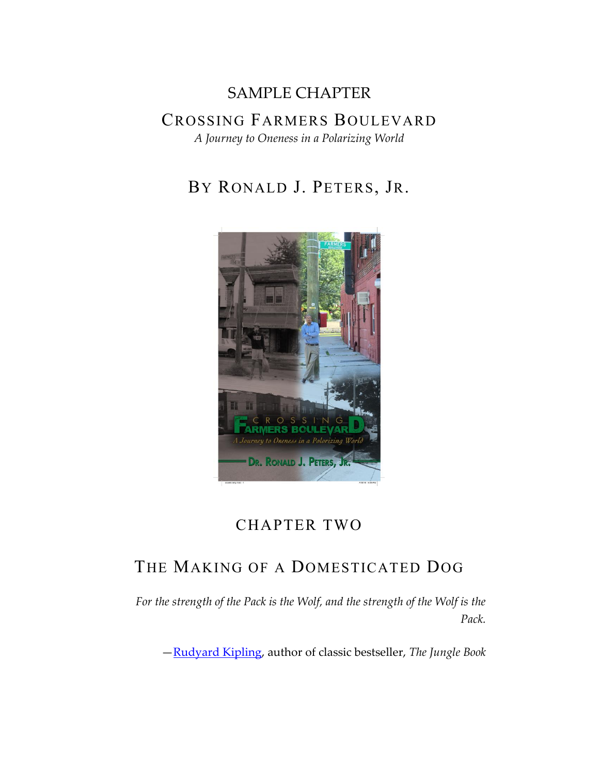# SAMPLE CHAPTER CROSSING FARMERS BOULEVARD

*A Journey to Oneness in a Polarizing World*

BY RONALD J. PETERS, JR.



### CHAPTER TWO

## THE MAKING OF A DOMESTICATED DOG

*For the strength of the Pack is the Wolf, and the strength of the Wolf is the Pack.* 

—[Rudyard Kipling,](https://en.wikiquote.org/wiki/Rudyard_Kipling) author of classic bestseller, *The Jungle Book*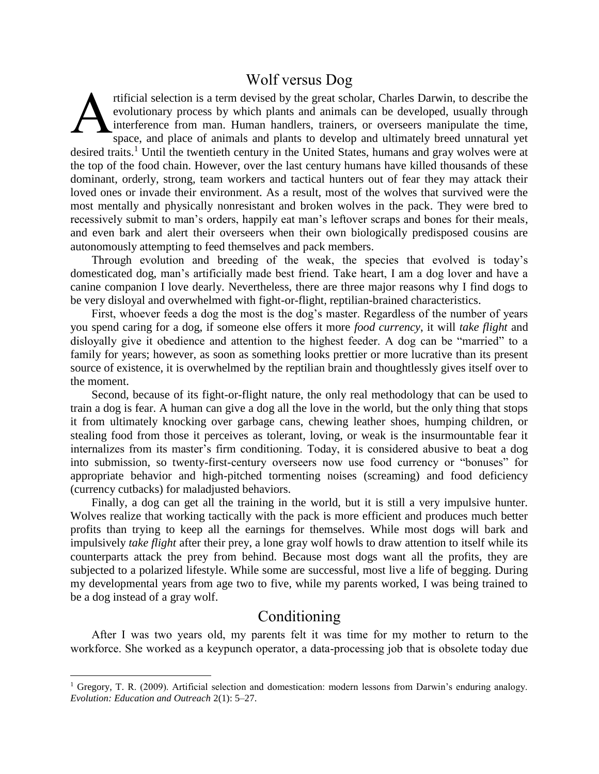### Wolf versus Dog

rtificial selection is a term devised by the great scholar, Charles Darwin, to describe the evolutionary process by which plants and animals can be developed, usually through interference from man. Human handlers, trainers, or overseers manipulate the time, space, and place of animals and plants to develop and ultimately breed unnatural yet desired traits.<sup>1</sup> Until the twentieth century in the United States, humans and gray wolves were at the top of the food chain. However, over the last century humans have killed thousands of these dominant, orderly, strong, team workers and tactical hunters out of fear they may attack their loved ones or invade their environment. As a result, most of the wolves that survived were the most mentally and physically nonresistant and broken wolves in the pack. They were bred to recessively submit to man's orders, happily eat man's leftover scraps and bones for their meals, and even bark and alert their overseers when their own biologically predisposed cousins are autonomously attempting to feed themselves and pack members. A

Through evolution and breeding of the weak, the species that evolved is today's domesticated dog, man's artificially made best friend. Take heart, I am a dog lover and have a canine companion I love dearly. Nevertheless, there are three major reasons why I find dogs to be very disloyal and overwhelmed with fight-or-flight, reptilian-brained characteristics.

First, whoever feeds a dog the most is the dog's master. Regardless of the number of years you spend caring for a dog, if someone else offers it more *food currency*, it will *take flight* and disloyally give it obedience and attention to the highest feeder. A dog can be "married" to a family for years; however, as soon as something looks prettier or more lucrative than its present source of existence, it is overwhelmed by the reptilian brain and thoughtlessly gives itself over to the moment.

Second, because of its fight-or-flight nature, the only real methodology that can be used to train a dog is fear. A human can give a dog all the love in the world, but the only thing that stops it from ultimately knocking over garbage cans, chewing leather shoes, humping children, or stealing food from those it perceives as tolerant, loving, or weak is the insurmountable fear it internalizes from its master's firm conditioning. Today, it is considered abusive to beat a dog into submission, so twenty-first-century overseers now use food currency or "bonuses" for appropriate behavior and high-pitched tormenting noises (screaming) and food deficiency (currency cutbacks) for maladjusted behaviors.

Finally, a dog can get all the training in the world, but it is still a very impulsive hunter. Wolves realize that working tactically with the pack is more efficient and produces much better profits than trying to keep all the earnings for themselves. While most dogs will bark and impulsively *take flight* after their prey, a lone gray wolf howls to draw attention to itself while its counterparts attack the prey from behind. Because most dogs want all the profits, they are subjected to a polarized lifestyle. While some are successful, most live a life of begging. During my developmental years from age two to five, while my parents worked, I was being trained to be a dog instead of a gray wolf.

### Conditioning

After I was two years old, my parents felt it was time for my mother to return to the workforce. She worked as a keypunch operator, a data-processing job that is obsolete today due

 $\overline{\phantom{a}}$ 

<sup>&</sup>lt;sup>1</sup> Gregory, T. R. (2009). Artificial selection and domestication: modern lessons from Darwin's enduring analogy. *Evolution: Education and Outreach* 2(1): 5–27.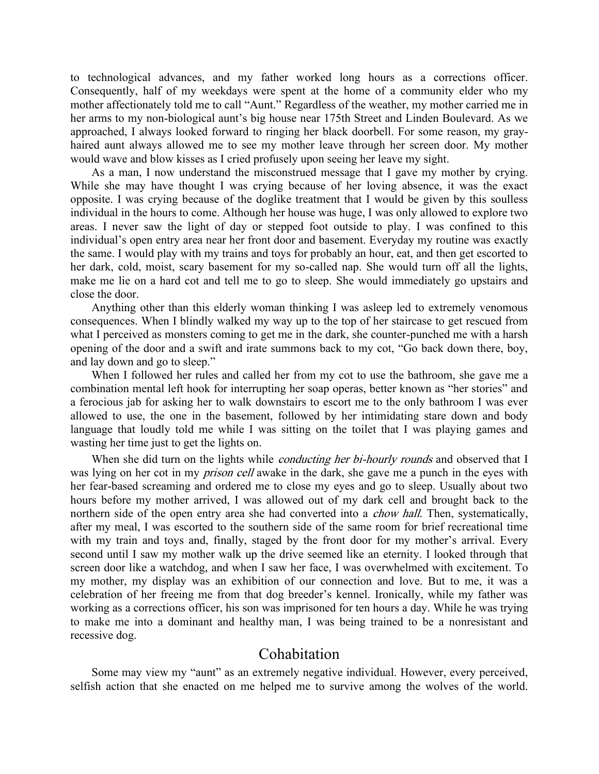to technological advances, and my father worked long hours as a corrections officer. Consequently, half of my weekdays were spent at the home of a community elder who my mother affectionately told me to call "Aunt." Regardless of the weather, my mother carried me in her arms to my non-biological aunt's big house near 175th Street and Linden Boulevard. As we approached, I always looked forward to ringing her black doorbell. For some reason, my grayhaired aunt always allowed me to see my mother leave through her screen door. My mother would wave and blow kisses as I cried profusely upon seeing her leave my sight.

As a man, I now understand the misconstrued message that I gave my mother by crying. While she may have thought I was crying because of her loving absence, it was the exact opposite. I was crying because of the doglike treatment that I would be given by this soulless individual in the hours to come. Although her house was huge, I was only allowed to explore two areas. I never saw the light of day or stepped foot outside to play. I was confined to this individual's open entry area near her front door and basement. Everyday my routine was exactly the same. I would play with my trains and toys for probably an hour, eat, and then get escorted to her dark, cold, moist, scary basement for my so-called nap. She would turn off all the lights, make me lie on a hard cot and tell me to go to sleep. She would immediately go upstairs and close the door.

Anything other than this elderly woman thinking I was asleep led to extremely venomous consequences. When I blindly walked my way up to the top of her staircase to get rescued from what I perceived as monsters coming to get me in the dark, she counter-punched me with a harsh opening of the door and a swift and irate summons back to my cot, "Go back down there, boy, and lay down and go to sleep."

When I followed her rules and called her from my cot to use the bathroom, she gave me a combination mental left hook for interrupting her soap operas, better known as "her stories" and a ferocious jab for asking her to walk downstairs to escort me to the only bathroom I was ever allowed to use, the one in the basement, followed by her intimidating stare down and body language that loudly told me while I was sitting on the toilet that I was playing games and wasting her time just to get the lights on.

When she did turn on the lights while *conducting her bi-hourly rounds* and observed that I was lying on her cot in my *prison cell* awake in the dark, she gave me a punch in the eyes with her fear-based screaming and ordered me to close my eyes and go to sleep. Usually about two hours before my mother arrived, I was allowed out of my dark cell and brought back to the northern side of the open entry area she had converted into a *chow hall*. Then, systematically, after my meal, I was escorted to the southern side of the same room for brief recreational time with my train and toys and, finally, staged by the front door for my mother's arrival. Every second until I saw my mother walk up the drive seemed like an eternity. I looked through that screen door like a watchdog, and when I saw her face, I was overwhelmed with excitement. To my mother, my display was an exhibition of our connection and love. But to me, it was a celebration of her freeing me from that dog breeder's kennel. Ironically, while my father was working as a corrections officer, his son was imprisoned for ten hours a day. While he was trying to make me into a dominant and healthy man, I was being trained to be a nonresistant and recessive dog.

#### Cohabitation

Some may view my "aunt" as an extremely negative individual. However, every perceived, selfish action that she enacted on me helped me to survive among the wolves of the world.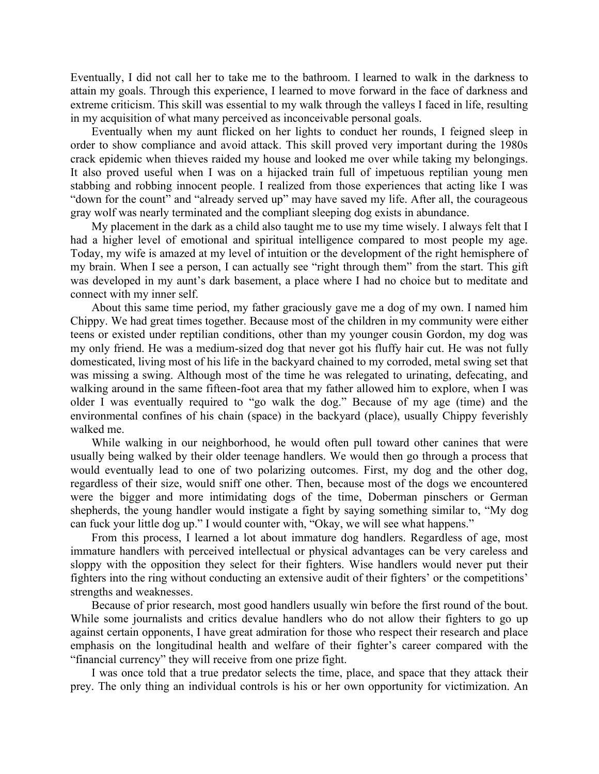Eventually, I did not call her to take me to the bathroom. I learned to walk in the darkness to attain my goals. Through this experience, I learned to move forward in the face of darkness and extreme criticism. This skill was essential to my walk through the valleys I faced in life, resulting in my acquisition of what many perceived as inconceivable personal goals.

Eventually when my aunt flicked on her lights to conduct her rounds, I feigned sleep in order to show compliance and avoid attack. This skill proved very important during the 1980s crack epidemic when thieves raided my house and looked me over while taking my belongings. It also proved useful when I was on a hijacked train full of impetuous reptilian young men stabbing and robbing innocent people. I realized from those experiences that acting like I was "down for the count" and "already served up" may have saved my life. After all, the courageous gray wolf was nearly terminated and the compliant sleeping dog exists in abundance.

My placement in the dark as a child also taught me to use my time wisely. I always felt that I had a higher level of emotional and spiritual intelligence compared to most people my age. Today, my wife is amazed at my level of intuition or the development of the right hemisphere of my brain. When I see a person, I can actually see "right through them" from the start. This gift was developed in my aunt's dark basement, a place where I had no choice but to meditate and connect with my inner self.

About this same time period, my father graciously gave me a dog of my own. I named him Chippy. We had great times together. Because most of the children in my community were either teens or existed under reptilian conditions, other than my younger cousin Gordon, my dog was my only friend. He was a medium-sized dog that never got his fluffy hair cut. He was not fully domesticated, living most of his life in the backyard chained to my corroded, metal swing set that was missing a swing. Although most of the time he was relegated to urinating, defecating, and walking around in the same fifteen-foot area that my father allowed him to explore, when I was older I was eventually required to "go walk the dog." Because of my age (time) and the environmental confines of his chain (space) in the backyard (place), usually Chippy feverishly walked me.

While walking in our neighborhood, he would often pull toward other canines that were usually being walked by their older teenage handlers. We would then go through a process that would eventually lead to one of two polarizing outcomes. First, my dog and the other dog, regardless of their size, would sniff one other. Then, because most of the dogs we encountered were the bigger and more intimidating dogs of the time, Doberman pinschers or German shepherds, the young handler would instigate a fight by saying something similar to, "My dog can fuck your little dog up." I would counter with, "Okay, we will see what happens."

From this process, I learned a lot about immature dog handlers. Regardless of age, most immature handlers with perceived intellectual or physical advantages can be very careless and sloppy with the opposition they select for their fighters. Wise handlers would never put their fighters into the ring without conducting an extensive audit of their fighters' or the competitions' strengths and weaknesses.

Because of prior research, most good handlers usually win before the first round of the bout. While some journalists and critics devalue handlers who do not allow their fighters to go up against certain opponents, I have great admiration for those who respect their research and place emphasis on the longitudinal health and welfare of their fighter's career compared with the "financial currency" they will receive from one prize fight.

I was once told that a true predator selects the time, place, and space that they attack their prey. The only thing an individual controls is his or her own opportunity for victimization. An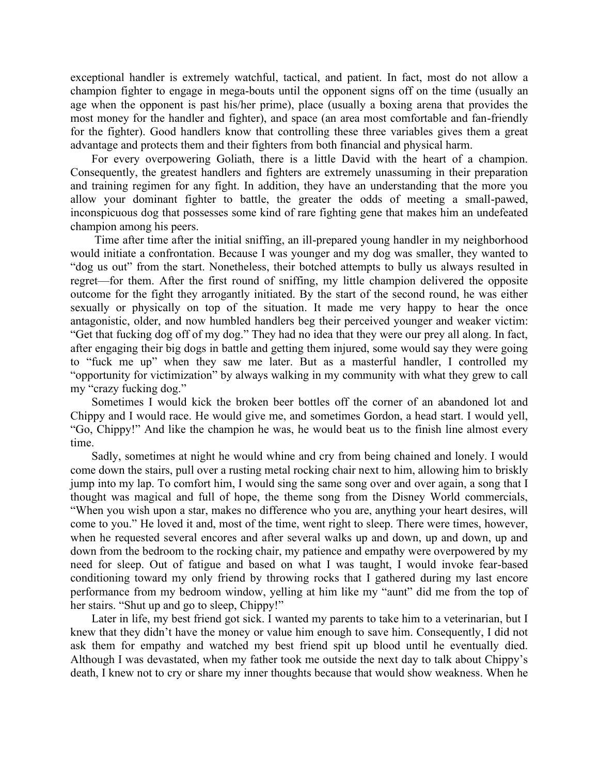exceptional handler is extremely watchful, tactical, and patient. In fact, most do not allow a champion fighter to engage in mega-bouts until the opponent signs off on the time (usually an age when the opponent is past his/her prime), place (usually a boxing arena that provides the most money for the handler and fighter), and space (an area most comfortable and fan-friendly for the fighter). Good handlers know that controlling these three variables gives them a great advantage and protects them and their fighters from both financial and physical harm.

For every overpowering Goliath, there is a little David with the heart of a champion. Consequently, the greatest handlers and fighters are extremely unassuming in their preparation and training regimen for any fight. In addition, they have an understanding that the more you allow your dominant fighter to battle, the greater the odds of meeting a small-pawed, inconspicuous dog that possesses some kind of rare fighting gene that makes him an undefeated champion among his peers.

Time after time after the initial sniffing, an ill-prepared young handler in my neighborhood would initiate a confrontation. Because I was younger and my dog was smaller, they wanted to "dog us out" from the start. Nonetheless, their botched attempts to bully us always resulted in regret—for them. After the first round of sniffing, my little champion delivered the opposite outcome for the fight they arrogantly initiated. By the start of the second round, he was either sexually or physically on top of the situation. It made me very happy to hear the once antagonistic, older, and now humbled handlers beg their perceived younger and weaker victim: "Get that fucking dog off of my dog." They had no idea that they were our prey all along. In fact, after engaging their big dogs in battle and getting them injured, some would say they were going to "fuck me up" when they saw me later. But as a masterful handler, I controlled my "opportunity for victimization" by always walking in my community with what they grew to call my "crazy fucking dog."

Sometimes I would kick the broken beer bottles off the corner of an abandoned lot and Chippy and I would race. He would give me, and sometimes Gordon, a head start. I would yell, "Go, Chippy!" And like the champion he was, he would beat us to the finish line almost every time.

Sadly, sometimes at night he would whine and cry from being chained and lonely. I would come down the stairs, pull over a rusting metal rocking chair next to him, allowing him to briskly jump into my lap. To comfort him, I would sing the same song over and over again, a song that I thought was magical and full of hope, the theme song from the Disney World commercials, "When you wish upon a star, makes no difference who you are, anything your heart desires, will come to you." He loved it and, most of the time, went right to sleep. There were times, however, when he requested several encores and after several walks up and down, up and down, up and down from the bedroom to the rocking chair, my patience and empathy were overpowered by my need for sleep. Out of fatigue and based on what I was taught, I would invoke fear-based conditioning toward my only friend by throwing rocks that I gathered during my last encore performance from my bedroom window, yelling at him like my "aunt" did me from the top of her stairs. "Shut up and go to sleep, Chippy!"

Later in life, my best friend got sick. I wanted my parents to take him to a veterinarian, but I knew that they didn't have the money or value him enough to save him. Consequently, I did not ask them for empathy and watched my best friend spit up blood until he eventually died. Although I was devastated, when my father took me outside the next day to talk about Chippy's death, I knew not to cry or share my inner thoughts because that would show weakness. When he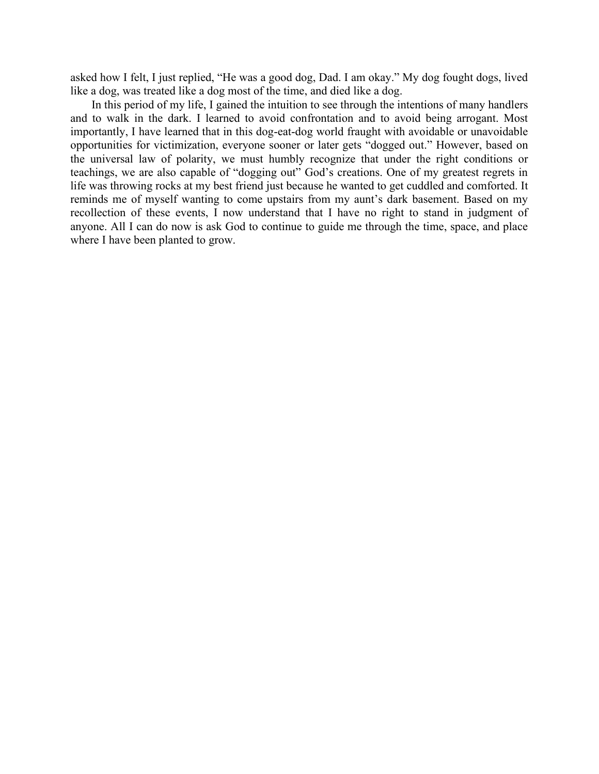asked how I felt, I just replied, "He was a good dog, Dad. I am okay." My dog fought dogs, lived like a dog, was treated like a dog most of the time, and died like a dog.

In this period of my life, I gained the intuition to see through the intentions of many handlers and to walk in the dark. I learned to avoid confrontation and to avoid being arrogant. Most importantly, I have learned that in this dog-eat-dog world fraught with avoidable or unavoidable opportunities for victimization, everyone sooner or later gets "dogged out." However, based on the universal law of polarity, we must humbly recognize that under the right conditions or teachings, we are also capable of "dogging out" God's creations. One of my greatest regrets in life was throwing rocks at my best friend just because he wanted to get cuddled and comforted. It reminds me of myself wanting to come upstairs from my aunt's dark basement. Based on my recollection of these events, I now understand that I have no right to stand in judgment of anyone. All I can do now is ask God to continue to guide me through the time, space, and place where I have been planted to grow.